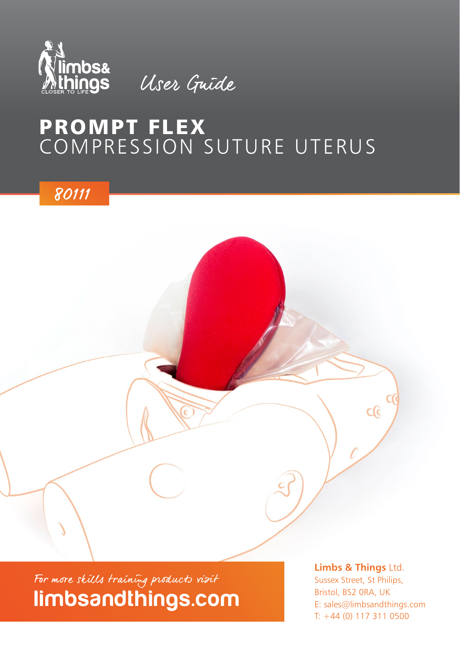

User Guide

### PROMPT FLEX COMPRESSION SUTURE UTERUS

80111

limbsandthings.com For more skills training products visit

Sussex Street, St Philips, Bristol, BS2 0RA, UK E: sales@limbsandthings.com T: +44 (0) 117 311 0500

 $\Omega$ 

**Limbs & Things** Ltd.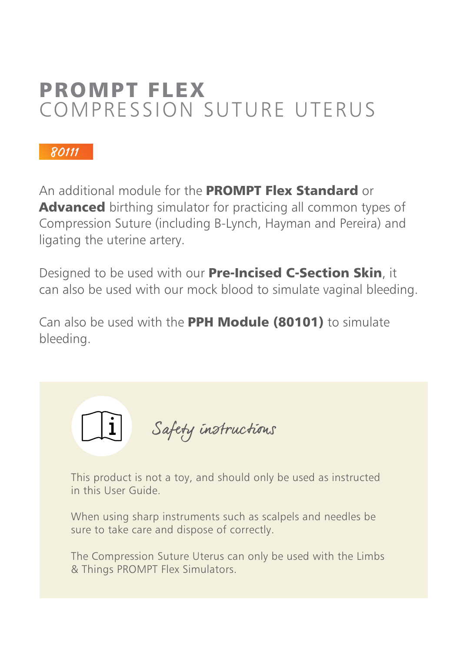## PROMPT FLEX COMPRESSION SUTURE UTERUS

#### 80111

An additional module for the **PROMPT Flex Standard** or Advanced birthing simulator for practicing all common types of Compression Suture (including B-Lynch, Hayman and Pereira) and ligating the uterine artery.

Designed to be used with our Pre-Incised C-Section Skin, it can also be used with our mock blood to simulate vaginal bleeding.

Can also be used with the PPH Module (80101) to simulate bleeding.



This product is not a toy, and should only be used as instructed in this User Guide.

When using sharp instruments such as scalpels and needles be sure to take care and dispose of correctly.

The Compression Suture Uterus can only be used with the Limbs & Things PROMPT Flex Simulators.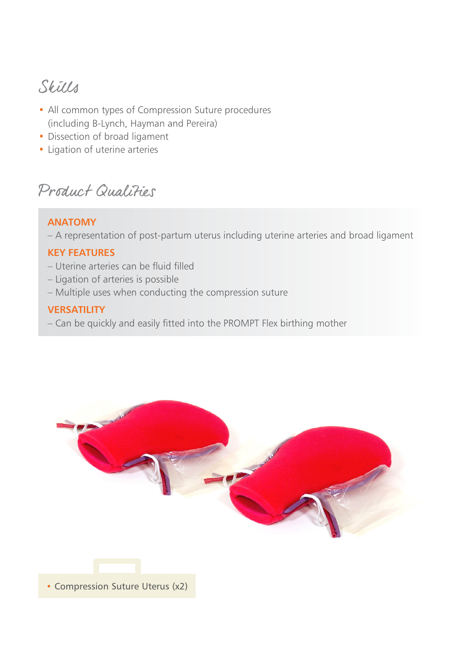### Skills

- All common types of Compression Suture procedures (including B-Lynch, Hayman and Pereira)
- Dissection of broad ligament
- Ligation of uterine arteries

Product Qualities

#### **ANATOMY**

– A representation of post-partum uterus including uterine arteries and broad ligament

#### **KEY FEATURES**

- Uterine arteries can be fluid filled
- Ligation of arteries is possible
- Multiple uses when conducting the compression suture

#### **VERSATILITY**

– Can be quickly and easily fitted into the PROMPT Flex birthing mother



**•** Compression Suture Uterus (x2)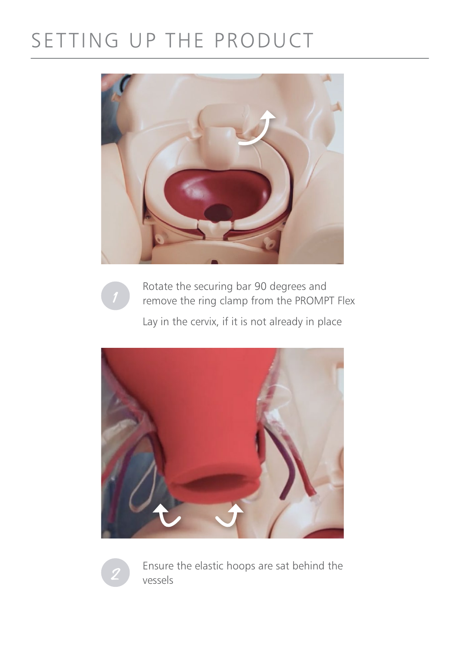# SETTING UP THE PRODUCT





Rotate the securing bar 90 degrees and remove the ring clamp from the PROMPT Flex

Lay in the cervix, if it is not already in place





Ensure the elastic hoops are sat behind the vessels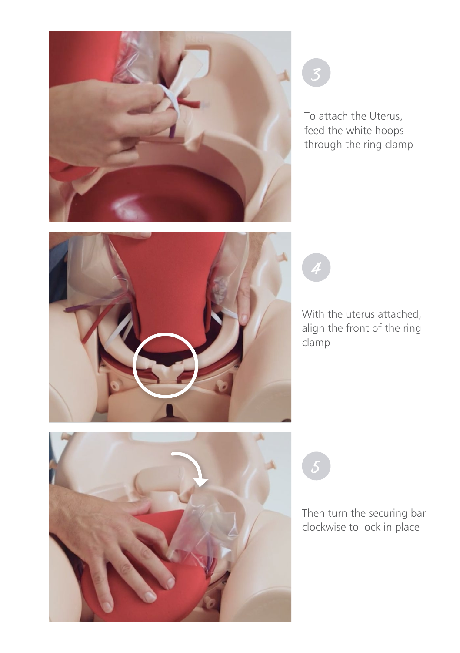

3

4

To attach the Uterus, feed the white hoops through the ring clamp



With the uterus attached, align the front of the ring clamp



Then turn the securing bar clockwise to lock in place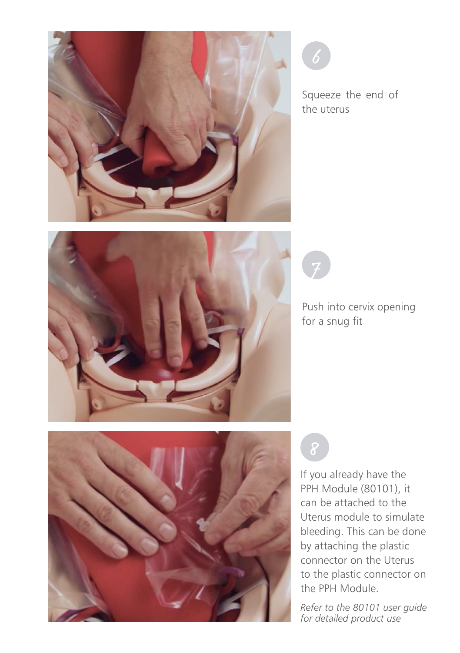

Squeeze the end of the uterus



Push into cervix opening for a snug fit



7

If you already have the PPH Module (80101), it can be attached to the Uterus module to simulate bleeding. This can be done by attaching the plastic connector on the Uterus to the plastic connector on the PPH Module.

*Refer to the 80101 user guide for detailed product use*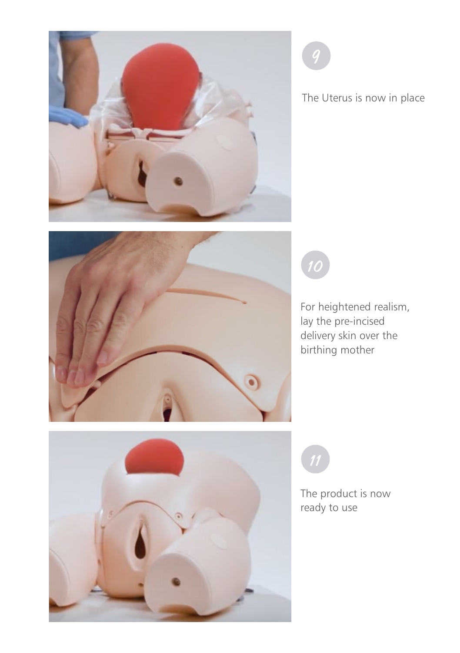

The Uterus is now in place





For heightened realism, lay the pre-incised delivery skin over the birthing mother



The product is now ready to use